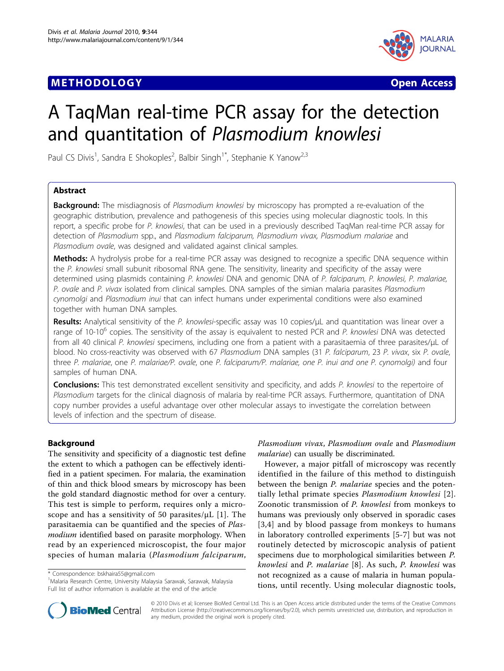# **METHODOLOGY Open Access**



# A TaqMan real-time PCR assay for the detection and quantitation of Plasmodium knowlesi

Paul CS Divis<sup>1</sup>, Sandra E Shokoples<sup>2</sup>, Balbir Singh<sup>1\*</sup>, Stephanie K Yanow<sup>2,3</sup>

## Abstract

**Background:** The misdiagnosis of Plasmodium knowlesi by microscopy has prompted a re-evaluation of the geographic distribution, prevalence and pathogenesis of this species using molecular diagnostic tools. In this report, a specific probe for P. knowlesi, that can be used in a previously described TaqMan real-time PCR assay for detection of Plasmodium spp., and Plasmodium falciparum, Plasmodium vivax, Plasmodium malariae and Plasmodium ovale, was designed and validated against clinical samples.

**Methods:** A hydrolysis probe for a real-time PCR assay was designed to recognize a specific DNA sequence within the P. knowlesi small subunit ribosomal RNA gene. The sensitivity, linearity and specificity of the assay were determined using plasmids containing P. knowlesi DNA and genomic DNA of P. falciparum, P. knowlesi, P. malariae, P. ovale and P. vivax isolated from clinical samples. DNA samples of the simian malaria parasites Plasmodium cynomolgi and Plasmodium inui that can infect humans under experimental conditions were also examined together with human DNA samples.

Results: Analytical sensitivity of the P. knowlesi-specific assay was 10 copies/μL and quantitation was linear over a range of 10-10 $^6$  copies. The sensitivity of the assay is equivalent to nested PCR and P. knowlesi DNA was detected from all 40 clinical P. knowlesi specimens, including one from a patient with a parasitaemia of three parasites/µL of blood. No cross-reactivity was observed with 67 Plasmodium DNA samples (31 P. falciparum, 23 P. vivax, six P. ovale, three P. malariae, one P. malariae/P. ovale, one P. falciparum/P. malariae, one P. inui and one P. cynomolgi) and four samples of human DNA.

Conclusions: This test demonstrated excellent sensitivity and specificity, and adds P. knowlesi to the repertoire of Plasmodium targets for the clinical diagnosis of malaria by real-time PCR assays. Furthermore, quantitation of DNA copy number provides a useful advantage over other molecular assays to investigate the correlation between levels of infection and the spectrum of disease.

## Background

The sensitivity and specificity of a diagnostic test define the extent to which a pathogen can be effectively identified in a patient specimen. For malaria, the examination of thin and thick blood smears by microscopy has been the gold standard diagnostic method for over a century. This test is simple to perform, requires only a microscope and has a sensitivity of 50 parasites/ $\mu$ L [[1\]](#page-5-0). The parasitaemia can be quantified and the species of Plasmodium identified based on parasite morphology. When read by an experienced microscopist, the four major species of human malaria (Plasmodium falciparum,

\* Correspondence: [bskhaira55@gmail.com](mailto:bskhaira55@gmail.com)

<sup>1</sup> Malaria Research Centre, University Malaysia Sarawak, Sarawak, Malaysia Full list of author information is available at the end of the article



However, a major pitfall of microscopy was recently identified in the failure of this method to distinguish between the benign P. malariae species and the potentially lethal primate species Plasmodium knowlesi [[2](#page-5-0)]. Zoonotic transmission of P. knowlesi from monkeys to humans was previously only observed in sporadic cases [[3](#page-5-0),[4](#page-5-0)] and by blood passage from monkeys to humans in laboratory controlled experiments [[5-7](#page-5-0)] but was not routinely detected by microscopic analysis of patient specimens due to morphological similarities between P. knowlesi and P. malariae [[8](#page-5-0)]. As such, P. knowlesi was not recognized as a cause of malaria in human populations, until recently. Using molecular diagnostic tools,



© 2010 Divis et al; licensee BioMed Central Ltd. This is an Open Access article distributed under the terms of the Creative Commons Attribution License [\(http://creativecommons.org/licenses/by/2.0](http://creativecommons.org/licenses/by/2.0)), which permits unrestricted use, distribution, and reproduction in any medium, provided the original work is properly cited.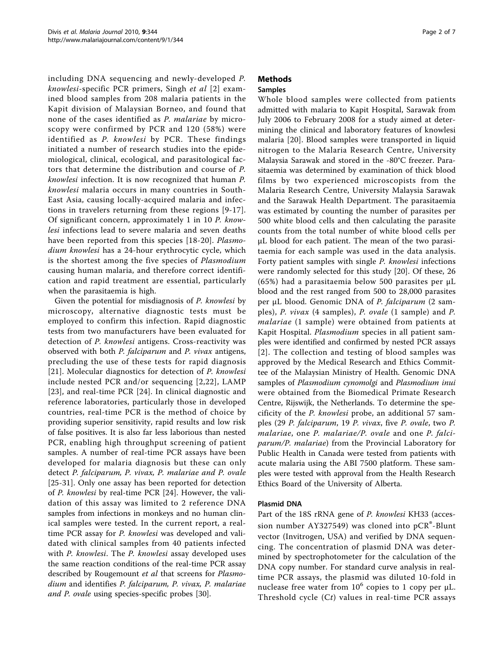including DNA sequencing and newly-developed P. knowlesi-specific PCR primers, Singh et al [[2\]](#page-5-0) examined blood samples from 208 malaria patients in the Kapit division of Malaysian Borneo, and found that none of the cases identified as P. malariae by microscopy were confirmed by PCR and 120 (58%) were identified as P. knowlesi by PCR. These findings initiated a number of research studies into the epidemiological, clinical, ecological, and parasitological factors that determine the distribution and course of P. knowlesi infection. It is now recognized that human P. knowlesi malaria occurs in many countries in South-East Asia, causing locally-acquired malaria and infections in travelers returning from these regions [[9-17\]](#page-5-0). Of significant concern, approximately 1 in 10 P. knowlesi infections lead to severe malaria and seven deaths have been reported from this species [[18](#page-5-0)-[20](#page-5-0)]. Plasmodium knowlesi has a 24-hour erythrocytic cycle, which is the shortest among the five species of Plasmodium causing human malaria, and therefore correct identification and rapid treatment are essential, particularly when the parasitaemia is high.

Given the potential for misdiagnosis of P. knowlesi by microscopy, alternative diagnostic tests must be employed to confirm this infection. Rapid diagnostic tests from two manufacturers have been evaluated for detection of *P. knowlesi* antigens. Cross-reactivity was observed with both P. falciparum and P. vivax antigens, precluding the use of these tests for rapid diagnosis [[21](#page-5-0)]. Molecular diagnostics for detection of P. knowlesi include nested PCR and/or sequencing [[2](#page-5-0),[22](#page-5-0)], LAMP [[23](#page-5-0)], and real-time PCR [[24\]](#page-5-0). In clinical diagnostic and reference laboratories, particularly those in developed countries, real-time PCR is the method of choice by providing superior sensitivity, rapid results and low risk of false positives. It is also far less laborious than nested PCR, enabling high throughput screening of patient samples. A number of real-time PCR assays have been developed for malaria diagnosis but these can only detect P. falciparum, P. vivax, P. malariae and P. ovale [[25](#page-5-0)[-31](#page-6-0)]. Only one assay has been reported for detection of P. knowlesi by real-time PCR [\[24](#page-5-0)]. However, the validation of this assay was limited to 2 reference DNA samples from infections in monkeys and no human clinical samples were tested. In the current report, a realtime PCR assay for P. knowlesi was developed and validated with clinical samples from 40 patients infected with *P. knowlesi*. The *P. knowlesi* assay developed uses the same reaction conditions of the real-time PCR assay described by Rougemount et al that screens for Plasmodium and identifies P. falciparum, P. vivax, P. malariae and P. ovale using species-specific probes [\[30](#page-6-0)].

## Methods

## Samples

Whole blood samples were collected from patients admitted with malaria to Kapit Hospital, Sarawak from July 2006 to February 2008 for a study aimed at determining the clinical and laboratory features of knowlesi malaria [[20\]](#page-5-0). Blood samples were transported in liquid nitrogen to the Malaria Research Centre, University Malaysia Sarawak and stored in the -80°C freezer. Parasitaemia was determined by examination of thick blood films by two experienced microscopists from the Malaria Research Centre, University Malaysia Sarawak and the Sarawak Health Department. The parasitaemia was estimated by counting the number of parasites per 500 white blood cells and then calculating the parasite counts from the total number of white blood cells per μL blood for each patient. The mean of the two parasitaemia for each sample was used in the data analysis. Forty patient samples with single P. knowlesi infections were randomly selected for this study [[20\]](#page-5-0). Of these, 26 (65%) had a parasitaemia below 500 parasites per μL blood and the rest ranged from 500 to 28,000 parasites per μL blood. Genomic DNA of P. falciparum (2 samples), P. vivax (4 samples), P. ovale (1 sample) and P. malariae (1 sample) were obtained from patients at Kapit Hospital. Plasmodium species in all patient samples were identified and confirmed by nested PCR assays [[2\]](#page-5-0). The collection and testing of blood samples was approved by the Medical Research and Ethics Committee of the Malaysian Ministry of Health. Genomic DNA samples of Plasmodium cynomolgi and Plasmodium inui were obtained from the Biomedical Primate Research Centre, Rijswijk, the Netherlands. To determine the specificity of the P. knowlesi probe, an additional 57 samples (29 P. falciparum, 19 P. vivax, five P. ovale, two P. malariae, one P. malariae/P. ovale and one P. falciparum/P. malariae) from the Provincial Laboratory for Public Health in Canada were tested from patients with acute malaria using the ABI 7500 platform. These samples were tested with approval from the Health Research Ethics Board of the University of Alberta.

## Plasmid DNA

Part of the 18S rRNA gene of P. knowlesi KH33 (accession number AY327549) was cloned into  $pCR^{\circ}$ -Blunt vector (Invitrogen, USA) and verified by DNA sequencing. The concentration of plasmid DNA was determined by spectrophotometer for the calculation of the DNA copy number. For standard curve analysis in realtime PCR assays, the plasmid was diluted 10-fold in nuclease free water from  $10^6$  copies to 1 copy per  $\mu$ L. Threshold cycle (Ct) values in real-time PCR assays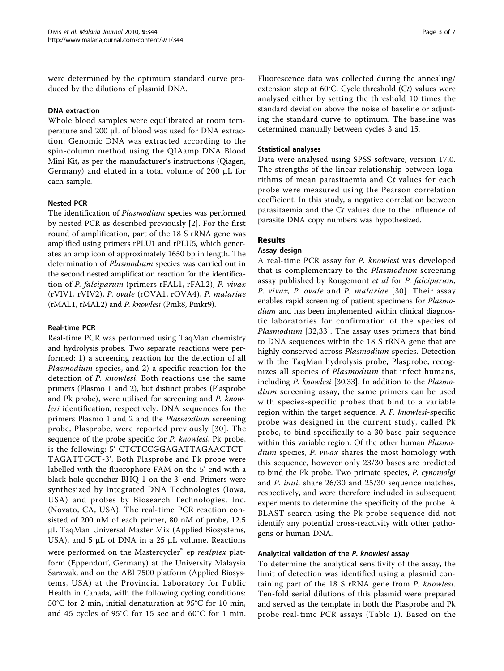were determined by the optimum standard curve produced by the dilutions of plasmid DNA.

#### DNA extraction

Whole blood samples were equilibrated at room temperature and 200 μL of blood was used for DNA extraction. Genomic DNA was extracted according to the spin-column method using the QIAamp DNA Blood Mini Kit, as per the manufacturer's instructions (Qiagen, Germany) and eluted in a total volume of 200 μL for each sample.

### Nested PCR

The identification of Plasmodium species was performed by nested PCR as described previously [[2](#page-5-0)]. For the first round of amplification, part of the 18 S rRNA gene was amplified using primers rPLU1 and rPLU5, which generates an amplicon of approximately 1650 bp in length. The determination of Plasmodium species was carried out in the second nested amplification reaction for the identification of P. falciparum (primers rFAL1, rFAL2), P. vivax (rVIV1, rVIV2), P. ovale (rOVA1, rOVA4), P. malariae (rMAL1, rMAL2) and P. knowlesi (Pmk8, Pmkr9).

#### Real-time PCR

Real-time PCR was performed using TaqMan chemistry and hydrolysis probes. Two separate reactions were performed: 1) a screening reaction for the detection of all Plasmodium species, and 2) a specific reaction for the detection of P. knowlesi. Both reactions use the same primers (Plasmo 1 and 2), but distinct probes (Plasprobe and Pk probe), were utilised for screening and P. knowlesi identification, respectively. DNA sequences for the primers Plasmo 1 and 2 and the Plasmodium screening probe, Plasprobe, were reported previously [[30](#page-6-0)]. The sequence of the probe specific for P. knowlesi, Pk probe, is the following: 5'-CTCTCCGGAGATTAGAACTCT-TAGATTGCT-3'. Both Plasprobe and Pk probe were labelled with the fluorophore FAM on the 5' end with a black hole quencher BHQ-1 on the 3' end. Primers were synthesized by Integrated DNA Technologies (Iowa, USA) and probes by Biosearch Technologies, Inc. (Novato, CA, USA). The real-time PCR reaction consisted of 200 nM of each primer, 80 nM of probe, 12.5 μL TaqMan Universal Master Mix (Applied Biosystems, USA), and 5  $\mu$ L of DNA in a 25  $\mu$ L volume. Reactions were performed on the Mastercycler<sup>®</sup> ep realplex platform (Eppendorf, Germany) at the University Malaysia Sarawak, and on the ABI 7500 platform (Applied Biosystems, USA) at the Provincial Laboratory for Public Health in Canada, with the following cycling conditions: 50°C for 2 min, initial denaturation at 95°C for 10 min, and 45 cycles of 95°C for 15 sec and 60°C for 1 min.

Fluorescence data was collected during the annealing/ extension step at  $60^{\circ}$ C. Cycle threshold  $(Ct)$  values were analysed either by setting the threshold 10 times the standard deviation above the noise of baseline or adjusting the standard curve to optimum. The baseline was determined manually between cycles 3 and 15.

#### Statistical analyses

Data were analysed using SPSS software, version 17.0. The strengths of the linear relationship between logarithms of mean parasitaemia and  $Ct$  values for each probe were measured using the Pearson correlation coefficient. In this study, a negative correlation between parasitaemia and the Ct values due to the influence of parasite DNA copy numbers was hypothesized.

## Results

#### Assay design

A real-time PCR assay for P. knowlesi was developed that is complementary to the *Plasmodium* screening assay published by Rougemont et al for P. falciparum, P. vivax, P. ovale and P. malariae [[30\]](#page-6-0). Their assay enables rapid screening of patient specimens for Plasmodium and has been implemented within clinical diagnostic laboratories for confirmation of the species of Plasmodium [\[32,33](#page-6-0)]. The assay uses primers that bind to DNA sequences within the 18 S rRNA gene that are highly conserved across Plasmodium species. Detection with the TaqMan hydrolysis probe, Plasprobe, recognizes all species of Plasmodium that infect humans, including P. knowlesi [\[30,33\]](#page-6-0). In addition to the Plasmodium screening assay, the same primers can be used with species-specific probes that bind to a variable region within the target sequence. A P. knowlesi-specific probe was designed in the current study, called Pk probe, to bind specifically to a 30 base pair sequence within this variable region. Of the other human *Plasmo*dium species, P. vivax shares the most homology with this sequence, however only 23/30 bases are predicted to bind the Pk probe. Two primate species, P. cynomolgi and P. inui, share 26/30 and 25/30 sequence matches, respectively, and were therefore included in subsequent experiments to determine the specificity of the probe. A BLAST search using the Pk probe sequence did not identify any potential cross-reactivity with other pathogens or human DNA.

### Analytical validation of the P. knowlesi assay

To determine the analytical sensitivity of the assay, the limit of detection was identified using a plasmid containing part of the 18 S rRNA gene from P. knowlesi. Ten-fold serial dilutions of this plasmid were prepared and served as the template in both the Plasprobe and Pk probe real-time PCR assays (Table [1](#page-3-0)). Based on the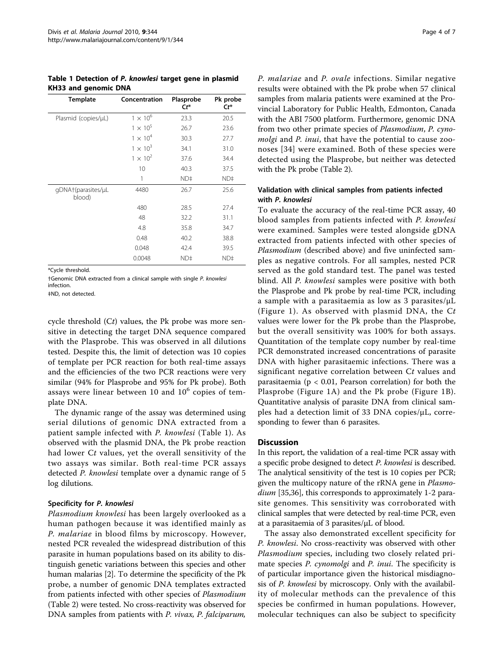<span id="page-3-0"></span>Table 1 Detection of P. knowlesi target gene in plasmid KH33 and genomic DNA

| <b>Template</b>              | Concentration     | Plasprobe<br>$Ct^*$ | Pk probe<br>$Ct^*$ |
|------------------------------|-------------------|---------------------|--------------------|
| Plasmid (copies/µL)          | $1 \times 10^6$   | 23.3                | 20.5               |
|                              | $1 \times 10^{5}$ | 26.7                | 23.6               |
|                              | $1 \times 10^4$   | 30.3                | 27.7               |
|                              | $1 \times 10^3$   | 34.1                | 31.0               |
|                              | $1 \times 10^{2}$ | 37.6                | 34.4               |
|                              | 10                | 40.3                | 37.5               |
|                              | 1                 | ND‡                 | ND‡                |
| gDNA+(parasites/µL<br>blood) | 4480              | 26.7                | 25.6               |
|                              | 480               | 28.5                | 27.4               |
|                              | 48                | 32.2                | 31.1               |
|                              | 4.8               | 35.8                | 34.7               |
|                              | 0.48              | 40.2                | 38.8               |
|                              | 0.048             | 42.4                | 39.5               |
|                              | 0.0048            | ND‡                 | ND‡                |

\*Cycle threshold.

†Genomic DNA extracted from a clinical sample with single P. knowlesi infection.

‡ND, not detected.

cycle threshold  $(Ct)$  values, the Pk probe was more sensitive in detecting the target DNA sequence compared with the Plasprobe. This was observed in all dilutions tested. Despite this, the limit of detection was 10 copies of template per PCR reaction for both real-time assays and the efficiencies of the two PCR reactions were very similar (94% for Plasprobe and 95% for Pk probe). Both assays were linear between 10 and  $10<sup>6</sup>$  copies of template DNA.

The dynamic range of the assay was determined using serial dilutions of genomic DNA extracted from a patient sample infected with P. knowlesi (Table 1). As observed with the plasmid DNA, the Pk probe reaction had lower Ct values, yet the overall sensitivity of the two assays was similar. Both real-time PCR assays detected P. knowlesi template over a dynamic range of 5 log dilutions.

### Specificity for P. knowlesi

Plasmodium knowlesi has been largely overlooked as a human pathogen because it was identified mainly as P. malariae in blood films by microscopy. However, nested PCR revealed the widespread distribution of this parasite in human populations based on its ability to distinguish genetic variations between this species and other human malarias [[2](#page-5-0)]. To determine the specificity of the Pk probe, a number of genomic DNA templates extracted from patients infected with other species of Plasmodium (Table [2\)](#page-4-0) were tested. No cross-reactivity was observed for DNA samples from patients with P. vivax, P. falciparum,

P. malariae and P. ovale infections. Similar negative results were obtained with the Pk probe when 57 clinical samples from malaria patients were examined at the Provincial Laboratory for Public Health, Edmonton, Canada with the ABI 7500 platform. Furthermore, genomic DNA from two other primate species of Plasmodium, P. cynomolgi and P. inui, that have the potential to cause zoonoses [\[34\]](#page-6-0) were examined. Both of these species were detected using the Plasprobe, but neither was detected with the Pk probe (Table [2\)](#page-4-0).

## Validation with clinical samples from patients infected with P. knowlesi

To evaluate the accuracy of the real-time PCR assay, 40 blood samples from patients infected with P. knowlesi were examined. Samples were tested alongside gDNA extracted from patients infected with other species of Plasmodium (described above) and five uninfected samples as negative controls. For all samples, nested PCR served as the gold standard test. The panel was tested blind. All P. knowlesi samples were positive with both the Plasprobe and Pk probe by real-time PCR, including a sample with a parasitaemia as low as 3 parasites/μL (Figure [1](#page-4-0)). As observed with plasmid DNA, the Ct values were lower for the Pk probe than the Plasprobe, but the overall sensitivity was 100% for both assays. Quantitation of the template copy number by real-time PCR demonstrated increased concentrations of parasite DNA with higher parasitaemic infections. There was a significant negative correlation between  $Ct$  values and parasitaemia (p < 0.01, Pearson correlation) for both the Plasprobe (Figure [1A\)](#page-4-0) and the Pk probe (Figure [1B\)](#page-4-0). Quantitative analysis of parasite DNA from clinical samples had a detection limit of 33 DNA copies/μL, corresponding to fewer than 6 parasites.

### **Discussion**

In this report, the validation of a real-time PCR assay with a specific probe designed to detect P. knowlesi is described. The analytical sensitivity of the test is 10 copies per PCR; given the multicopy nature of the rRNA gene in Plasmo-dium [[35,36](#page-6-0)], this corresponds to approximately 1-2 parasite genomes. This sensitivity was corroborated with clinical samples that were detected by real-time PCR, even at a parasitaemia of 3 parasites/μL of blood.

The assay also demonstrated excellent specificity for P. knowlesi. No cross-reactivity was observed with other Plasmodium species, including two closely related primate species *P. cynomolgi* and *P. inui*. The specificity is of particular importance given the historical misdiagnosis of P. knowlesi by microscopy. Only with the availability of molecular methods can the prevalence of this species be confirmed in human populations. However, molecular techniques can also be subject to specificity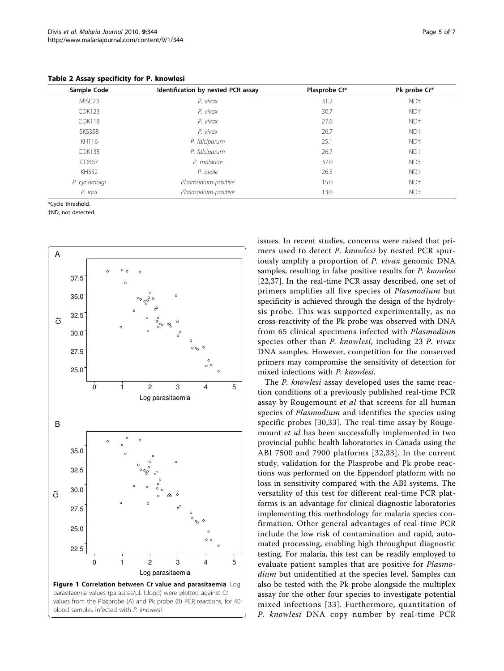Sample Code Sample Code Identification by nested PCR assay Plasprobe Ct\* Pk probe Ct\* MISC23 P. vivax 31.2 ND† CDK123 P. vivax 30.7 ND† CDK118 P. vivax 27.6 ND† SKS358 P. vivax 26.7 ND† KH116 P. falciparum 25.1 ND† CDK135 P. falciparum 26.7 ND† CDK67 P. malariae 37.0 ND† KH352 P. ovale 26.5 ND† P. cynomolgi Plasmodium-positive 15.0 ND† P. inui Plasmodium-positive 13.0 ND†

<span id="page-4-0"></span>Table 2 Assay specificity for P. knowlesi

\*Cycle threshold.

†ND, not detected.



issues. In recent studies, concerns were raised that primers used to detect P. knowlesi by nested PCR spuriously amplify a proportion of P. vivax genomic DNA samples, resulting in false positive results for P. knowlesi [[22,](#page-5-0)[37\]](#page-6-0). In the real-time PCR assay described, one set of primers amplifies all five species of Plasmodium but specificity is achieved through the design of the hydrolysis probe. This was supported experimentally, as no cross-reactivity of the Pk probe was observed with DNA from 65 clinical specimens infected with Plasmodium species other than *P. knowlesi*, including 23 *P. vivax* DNA samples. However, competition for the conserved primers may compromise the sensitivity of detection for mixed infections with P. knowlesi.

The P. knowlesi assay developed uses the same reaction conditions of a previously published real-time PCR assay by Rougemount *et al* that screens for all human species of *Plasmodium* and identifies the species using specific probes [\[30,33](#page-6-0)]. The real-time assay by Rougemount et al has been successfully implemented in two provincial public health laboratories in Canada using the ABI 7500 and 7900 platforms [[32,33\]](#page-6-0). In the current study, validation for the Plasprobe and Pk probe reactions was performed on the Eppendorf platform with no loss in sensitivity compared with the ABI systems. The versatility of this test for different real-time PCR platforms is an advantage for clinical diagnostic laboratories implementing this methodology for malaria species confirmation. Other general advantages of real-time PCR include the low risk of contamination and rapid, automated processing, enabling high throughput diagnostic testing. For malaria, this test can be readily employed to evaluate patient samples that are positive for *Plasmo*dium but unidentified at the species level. Samples can also be tested with the Pk probe alongside the multiplex assay for the other four species to investigate potential mixed infections [[33](#page-6-0)]. Furthermore, quantitation of P. knowlesi DNA copy number by real-time PCR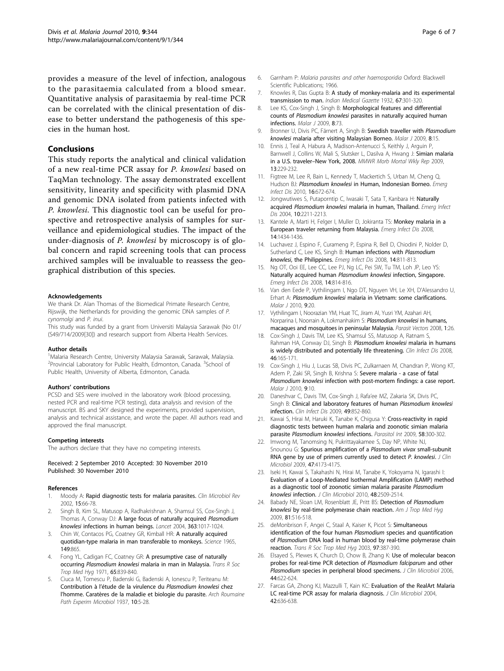<span id="page-5-0"></span>provides a measure of the level of infection, analogous to the parasitaemia calculated from a blood smear. Quantitative analysis of parasitaemia by real-time PCR can be correlated with the clinical presentation of disease to better understand the pathogenesis of this species in the human host.

#### Conclusions

This study reports the analytical and clinical validation of a new real-time PCR assay for P. knowlesi based on TaqMan technology. The assay demonstrated excellent sensitivity, linearity and specificity with plasmid DNA and genomic DNA isolated from patients infected with P. knowlesi. This diagnostic tool can be useful for prospective and retrospective analysis of samples for surveillance and epidemiological studies. The impact of the under-diagnosis of P. knowlesi by microscopy is of global concern and rapid screening tools that can process archived samples will be invaluable to reassess the geographical distribution of this species.

#### Acknowledgements

We thank Dr. Alan Thomas of the Biomedical Primate Research Centre, Rijswijk, the Netherlands for providing the genomic DNA samples of P. cynomolgi and P. inui.

This study was funded by a grant from Universiti Malaysia Sarawak (No 01/ (S49/714/2009[\[30\]](#page-6-0)) and research support from Alberta Health Services.

#### Author details

<sup>1</sup>Malaria Research Centre, University Malaysia Sarawak, Sarawak, Malaysia. <sup>2</sup> Provincial Laboratory for Public Health, Edmonton, Canada. <sup>3</sup> School of Public Health, University of Alberta, Edmonton, Canada.

#### Authors' contributions

PCSD and SES were involved in the laboratory work (blood processing, nested PCR and real-time PCR testing), data analysis and revision of the manuscript. BS and SKY designed the experiments, provided supervision, analysis and technical assistance, and wrote the paper. All authors read and approved the final manuscript.

#### Competing interests

The authors declare that they have no competing interests.

#### Received: 2 September 2010 Accepted: 30 November 2010 Published: 30 November 2010

#### References

- Moody A: [Rapid diagnostic tests for malaria parasites.](http://www.ncbi.nlm.nih.gov/pubmed/11781267?dopt=Abstract) Clin Microbiol Rev 2002, 15:66-78.
- 2. Singh B, Kim SL, Matusop A, Radhakrishnan A, Shamsul SS, Cox-Singh J, Thomas A, Conway DJ: [A large focus of naturally acquired](http://www.ncbi.nlm.nih.gov/pubmed/15051281?dopt=Abstract) Plasmodium knowlesi [infections in human beings.](http://www.ncbi.nlm.nih.gov/pubmed/15051281?dopt=Abstract) Lancet 2004, 363:1017-1024.
- 3. Chin W, Contacos PG, Coatney GR, Kimball HR: [A naturally acquired](http://www.ncbi.nlm.nih.gov/pubmed/14332847?dopt=Abstract) [quotidian-type malaria in man transferable to monkeys.](http://www.ncbi.nlm.nih.gov/pubmed/14332847?dopt=Abstract) Science 1965, 149:865.
- 4. Fong YL, Cadigan FC, Coatney GR: [A presumptive case of naturally](http://www.ncbi.nlm.nih.gov/pubmed/5003320?dopt=Abstract) occurring Plasmodium knowlesi [malaria in man in Malaysia.](http://www.ncbi.nlm.nih.gov/pubmed/5003320?dopt=Abstract) Trans R Soc Trop Med Hyg 1971, 65:839-840.
- 5. Ciuca M, Tomescu P, Badenski G, Badenski A, Ionescu P, Teriteanu M: Contribution à l'étude de la virulence du Plasmodium knowlesi chez l'homme. Caratères de la maladie et biologie du parasite. Arch Roumaine Path Experim Microbiol 1937, 10:5-28.
- 6. Garnham P: Malaria parasites and other haemosporidia Oxford: Blackwell Scientific Publications; 1966.
- 7. Knowles R, Das Gupta B: A study of monkey-malaria and its experimental transmission to man. Indian Medical Gazette 1932, 67:301-320.
- 8. Lee KS, Cox-Singh J, Singh B: [Morphological features and differential](http://www.ncbi.nlm.nih.gov/pubmed/19383118?dopt=Abstract) counts of Plasmodium knowlesi [parasites in naturally acquired human](http://www.ncbi.nlm.nih.gov/pubmed/19383118?dopt=Abstract) [infections.](http://www.ncbi.nlm.nih.gov/pubmed/19383118?dopt=Abstract) Malar 1 2009, 8:73.
- 9. Bronner U, Divis PC, Färnert A, Singh B: [Swedish traveller with](http://www.ncbi.nlm.nih.gov/pubmed/19146706?dopt=Abstract) Plasmodium knowlesi [malaria after visiting Malaysian Borneo.](http://www.ncbi.nlm.nih.gov/pubmed/19146706?dopt=Abstract) Malar J 2009, 8:15.
- 10. Ennis J, Teal A, Habura A, Madison-Antenucci S, Keithly J, Arguin P, Barnwell J, Collins W, Mali S, Slutsker L, Dasilva A, Hwang J: Simian malaria in a U.S. traveler–New York, 2008. MMWR Morb Mortal Wkly Rep 2009, 13:229-232.
- 11. Figtree M, Lee R, Bain L, Kennedy T, Mackertich S, Urban M, Cheng Q, Hudson BJ: Plasmodium knowlesi [in Human, Indonesian Borneo.](http://www.ncbi.nlm.nih.gov/pubmed/20350383?dopt=Abstract) Emerg Infect Dis 2010, 16:672-674.
- 12. Jongwutiwes S, Putaporntip C, Iwasaki T, Sata T, Kanbara H: [Naturally](http://www.ncbi.nlm.nih.gov/pubmed/15663864?dopt=Abstract) acquired Plasmodium knowlesi [malaria in human, Thailand.](http://www.ncbi.nlm.nih.gov/pubmed/15663864?dopt=Abstract) Emerg Infect Dis 2004, 10:2211-2213.
- 13. Kantele A, Marti H, Felger I, Muller D, Jokiranta TS: [Monkey malaria in a](http://www.ncbi.nlm.nih.gov/pubmed/18760013?dopt=Abstract) [European traveler returning from Malaysia.](http://www.ncbi.nlm.nih.gov/pubmed/18760013?dopt=Abstract) Emerg Infect Dis 2008, 14:1434-1436.
- 14. Luchavez J, Espino F, Curameng P, Espina R, Bell D, Chiodini P, Nolder D, Sutherland C, Lee KS, Singh B: [Human infections with](http://www.ncbi.nlm.nih.gov/pubmed/18439369?dopt=Abstract) Plasmodium knowlesi[, the Philippines.](http://www.ncbi.nlm.nih.gov/pubmed/18439369?dopt=Abstract) Emerg Infect Dis 2008, 14:811-813.
- 15. Ng OT, Ooi EE, Lee CC, Lee PJ, Ng LC, Pei SW, Tu TM, Loh JP, Leo YS: [Naturally acquired human](http://www.ncbi.nlm.nih.gov/pubmed/18439370?dopt=Abstract) Plasmodium knowlesi infection, Singapore. Emerg Infect Dis 2008, 14:814-816.
- 16. Van den Eede P, Vythilingam I, Ngo DT, Nguyen VH, Le XH, D'Alessandro U, Erhart A: Plasmodium knowlesi [malaria in Vietnam: some clarifications.](http://www.ncbi.nlm.nih.gov/pubmed/20082717?dopt=Abstract) Malar J 2010, 9:20.
- 17. Vythilingam I, Noorazian YM, Huat TC, Jiram AI, Yusri YM, Azahari AH, Norparina I, Noorrain A, Lokmanhakim S: [Plasmodium knowlesi](http://www.ncbi.nlm.nih.gov/pubmed/18710577?dopt=Abstract) in humans, [macaques and mosquitoes in peninsular Malaysia.](http://www.ncbi.nlm.nih.gov/pubmed/18710577?dopt=Abstract) Parasit Vectors 2008, 1:26.
- 18. Cox-Singh J, Davis TM, Lee KS, Shamsul SS, Matusop A, Ratnam S, Rahman HA, Conway DJ, Singh B: [Plasmodium knowlesi](http://www.ncbi.nlm.nih.gov/pubmed/18171245?dopt=Abstract) malaria in humans [is widely distributed and potentially life threatening.](http://www.ncbi.nlm.nih.gov/pubmed/18171245?dopt=Abstract) Clin Infect Dis 2008, 46:165-171.
- 19. Cox-Singh J, Hiu J, Lucas SB, Divis PC, Zulkarnaen M, Chandran P, Wong KT, Adem P, Zaki SR, Singh B, Krishna S: [Severe malaria - a case of fatal](http://www.ncbi.nlm.nih.gov/pubmed/20064229?dopt=Abstract) Plasmodium knowlesi [infection with post-mortem findings: a case report.](http://www.ncbi.nlm.nih.gov/pubmed/20064229?dopt=Abstract) Malar J 2010, 9:10.
- 20. Daneshvar C, Davis TM, Cox-Singh J, Rafa'ee MZ, Zakaria SK, Divis PC, Singh B: [Clinical and laboratory features of human](http://www.ncbi.nlm.nih.gov/pubmed/19635025?dopt=Abstract) Plasmodium knowlesi [infection.](http://www.ncbi.nlm.nih.gov/pubmed/19635025?dopt=Abstract) Clin Infect Dis 2009, 49:852-860.
- 21. Kawai S, Hirai M, Haruki K, Tanabe K, Chigusa Y: [Cross-reactivity in rapid](http://www.ncbi.nlm.nih.gov/pubmed/19527797?dopt=Abstract) [diagnostic tests between human malaria and zoonotic simian malaria](http://www.ncbi.nlm.nih.gov/pubmed/19527797?dopt=Abstract) parasite [Plasmodium knowlesi](http://www.ncbi.nlm.nih.gov/pubmed/19527797?dopt=Abstract) infections. Parasitol Int 2009, 58:300-302.
- 22. Imwong M, Tanomsing N, Pukrittayakamee S, Day NP, White NJ, Snounou G: [Spurious amplification of a](http://www.ncbi.nlm.nih.gov/pubmed/19812279?dopt=Abstract) Plasmodium vivax small-subunit [RNA gene by use of primers currently used to detect](http://www.ncbi.nlm.nih.gov/pubmed/19812279?dopt=Abstract) P. knowlesi. J Clin Microbiol 2009, 47:4173-4175.
- 23. Iseki H, Kawai S, Takahashi N, Hirai M, Tanabe K, Yokoyama N, Igarashi I: [Evaluation of a Loop-Mediated Isothermal Amplification \(LAMP\) method](http://www.ncbi.nlm.nih.gov/pubmed/20444968?dopt=Abstract) [as a diagnostic tool of zoonotic simian malaria parasite](http://www.ncbi.nlm.nih.gov/pubmed/20444968?dopt=Abstract) Plasmodium knowlesi [infection.](http://www.ncbi.nlm.nih.gov/pubmed/20444968?dopt=Abstract) J Clin Microbiol 2010, 48:2509-2514.
- 24. Babady NE, Sloan LM, Rosenblatt JE, Pritt BS: [Detection of](http://www.ncbi.nlm.nih.gov/pubmed/19706924?dopt=Abstract) Plasmodium knowlesi [by real-time polymerase chain reaction.](http://www.ncbi.nlm.nih.gov/pubmed/19706924?dopt=Abstract) Am J Trop Med Hyg 2009, 81:516-518.
- 25. deMonbrison F, Angei C, Staal A, Kaiser K, Picot S: [Simultaneous](http://www.ncbi.nlm.nih.gov/pubmed/15259463?dopt=Abstract) [identification of the four human](http://www.ncbi.nlm.nih.gov/pubmed/15259463?dopt=Abstract) Plasmodium species and quantification of Plasmodium [DNA load in human blood by real-time polymerase chain](http://www.ncbi.nlm.nih.gov/pubmed/15259463?dopt=Abstract) [reaction.](http://www.ncbi.nlm.nih.gov/pubmed/15259463?dopt=Abstract) Trans R Soc Trop Med Hyg 2003, 97:387-390.
- 26. Elsayed S, Plewes K, Church D, Chow B, Zhang K: [Use of molecular beacon](http://www.ncbi.nlm.nih.gov/pubmed/16455928?dopt=Abstract) [probes for real-time PCR detection of](http://www.ncbi.nlm.nih.gov/pubmed/16455928?dopt=Abstract) Plasmodium falciparum and other Plasmodium [species in peripheral blood specimens.](http://www.ncbi.nlm.nih.gov/pubmed/16455928?dopt=Abstract) J Clin Microbiol 2006, 44:622-624.
- 27. Farcas GA, Zhong KJ, Mazzulli T, Kain KC: [Evaluation of the RealArt Malaria](http://www.ncbi.nlm.nih.gov/pubmed/14766829?dopt=Abstract) [LC real-time PCR assay for malaria diagnosis.](http://www.ncbi.nlm.nih.gov/pubmed/14766829?dopt=Abstract) J Clin Microbiol 2004, 42:636-638.